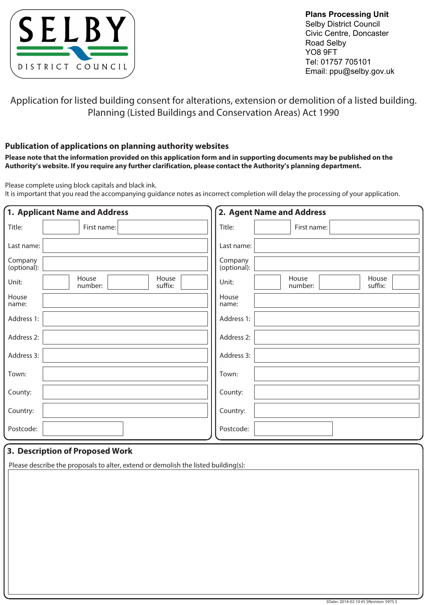

**Plans Processing Unit**  Selby District Council Civic Centre, Doncaster Road Selby YO8 9FT Tel: 01757 705101 Email: ppu@selby.gov.uk

Application for listed building consent for alterations, extension or demolition of a listed building. Planning (Listed Buildings and Conservation Areas) Act 1990

## **Publication of applications on planning authority websites**

**Please note that the information provided on this application form and in supporting documents may be published on the Authority's website. If you require any further clarification, please contact the Authority's planning department.**

Please complete using block capitals and black ink.

It is important that you read the accompanying guidance notes as incorrect completion will delay the processing of your application.

| 1. Applicant Name and Address                 | 2. Agent Name and Address                     |  |  |
|-----------------------------------------------|-----------------------------------------------|--|--|
| Title:<br>First name:                         | Title:<br>First name:                         |  |  |
| Last name:                                    | Last name:                                    |  |  |
| Company<br>(optional):                        | Company<br>(optional):                        |  |  |
| House<br>House<br>Unit:<br>suffix:<br>number: | House<br>House<br>Unit:<br>suffix:<br>number: |  |  |
| House<br>name:                                | House<br>name:                                |  |  |
| Address 1:                                    | Address 1:                                    |  |  |
| Address 2:                                    | Address 2:                                    |  |  |
| Address 3:                                    | Address 3:                                    |  |  |
| Town:                                         | Town:                                         |  |  |
| County:                                       | County:                                       |  |  |
| Country:                                      | Country:                                      |  |  |
| Postcode:                                     | Postcode:                                     |  |  |

## **3. Description of Proposed Work**

Please describe the proposals to alter, extend or demolish the listed building(s):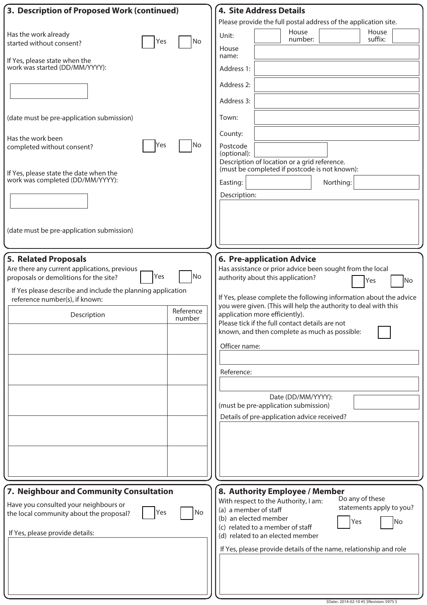| 3. Description of Proposed Work (continued)                                                                                                                                                                                                                               | <b>4. Site Address Details</b>                                                                                                                                                                                                                                                                                                                                                                                                                                                                                                                                                    |
|---------------------------------------------------------------------------------------------------------------------------------------------------------------------------------------------------------------------------------------------------------------------------|-----------------------------------------------------------------------------------------------------------------------------------------------------------------------------------------------------------------------------------------------------------------------------------------------------------------------------------------------------------------------------------------------------------------------------------------------------------------------------------------------------------------------------------------------------------------------------------|
|                                                                                                                                                                                                                                                                           | Please provide the full postal address of the application site.                                                                                                                                                                                                                                                                                                                                                                                                                                                                                                                   |
| Has the work already<br>No<br>Yes<br>started without consent?                                                                                                                                                                                                             | House<br>House<br>Unit:<br>suffix:<br>number:                                                                                                                                                                                                                                                                                                                                                                                                                                                                                                                                     |
| If Yes, please state when the<br>work was started (DD/MM/YYYY):                                                                                                                                                                                                           | House<br>name:                                                                                                                                                                                                                                                                                                                                                                                                                                                                                                                                                                    |
|                                                                                                                                                                                                                                                                           | Address 1:                                                                                                                                                                                                                                                                                                                                                                                                                                                                                                                                                                        |
|                                                                                                                                                                                                                                                                           | Address 2:<br>Address 3:                                                                                                                                                                                                                                                                                                                                                                                                                                                                                                                                                          |
| (date must be pre-application submission)                                                                                                                                                                                                                                 | Town:                                                                                                                                                                                                                                                                                                                                                                                                                                                                                                                                                                             |
| Has the work been                                                                                                                                                                                                                                                         | County:                                                                                                                                                                                                                                                                                                                                                                                                                                                                                                                                                                           |
| No<br>Yes<br>completed without consent?                                                                                                                                                                                                                                   | Postcode<br>(optional):                                                                                                                                                                                                                                                                                                                                                                                                                                                                                                                                                           |
| If Yes, please state the date when the                                                                                                                                                                                                                                    | Description of location or a grid reference.<br>(must be completed if postcode is not known):                                                                                                                                                                                                                                                                                                                                                                                                                                                                                     |
| work was completed (DD/MM/YYYY):                                                                                                                                                                                                                                          | Northing:<br>Easting:                                                                                                                                                                                                                                                                                                                                                                                                                                                                                                                                                             |
|                                                                                                                                                                                                                                                                           | Description:                                                                                                                                                                                                                                                                                                                                                                                                                                                                                                                                                                      |
|                                                                                                                                                                                                                                                                           |                                                                                                                                                                                                                                                                                                                                                                                                                                                                                                                                                                                   |
| (date must be pre-application submission)                                                                                                                                                                                                                                 |                                                                                                                                                                                                                                                                                                                                                                                                                                                                                                                                                                                   |
|                                                                                                                                                                                                                                                                           |                                                                                                                                                                                                                                                                                                                                                                                                                                                                                                                                                                                   |
| <b>5. Related Proposals</b><br>Are there any current applications, previous<br>No<br>Yes<br>proposals or demolitions for the site?<br>If Yes please describe and include the planning application<br>reference number(s), if known:<br>Reference<br>Description<br>number | <b>6. Pre-application Advice</b><br>Has assistance or prior advice been sought from the local<br>authority about this application?<br><b>No</b><br>Yes<br>If Yes, please complete the following information about the advice<br>you were given. (This will help the authority to deal with this<br>application more efficiently).<br>Please tick if the full contact details are not<br>known, and then complete as much as possible:<br>Officer name:<br>Reference:<br>Date (DD/MM/YYYY):<br>(must be pre-application submission)<br>Details of pre-application advice received? |
|                                                                                                                                                                                                                                                                           |                                                                                                                                                                                                                                                                                                                                                                                                                                                                                                                                                                                   |
| 7. Neighbour and Community Consultation<br>Have you consulted your neighbours or<br>No<br>Yes<br>the local community about the proposal?<br>If Yes, please provide details:                                                                                               | 8. Authority Employee / Member<br>Do any of these<br>With respect to the Authority, I am:<br>statements apply to you?<br>(a) a member of staff<br>(b) an elected member<br>Yes<br>No<br>(c) related to a member of staff<br>(d) related to an elected member<br>If Yes, please provide details of the name, relationship and role                                                                                                                                                                                                                                                 |
|                                                                                                                                                                                                                                                                           |                                                                                                                                                                                                                                                                                                                                                                                                                                                                                                                                                                                   |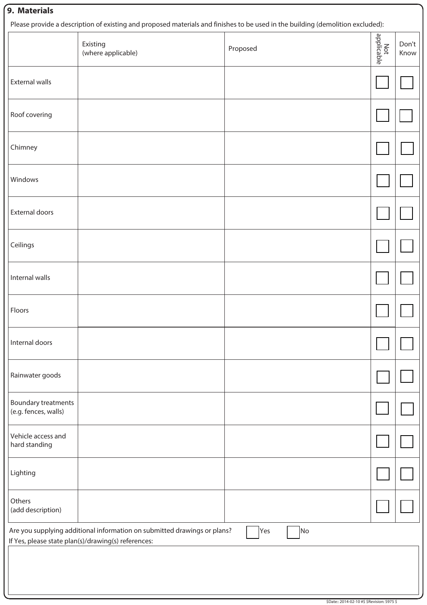## **9. Materials**

Please provide a description of existing and proposed materials and finishes to be used in the building (demolition excluded):

|                                             | Existing<br>(where applicable)                                                                                                  | Proposed  | <br>  applicable<br> | Don't<br>Know |
|---------------------------------------------|---------------------------------------------------------------------------------------------------------------------------------|-----------|----------------------|---------------|
| <b>External walls</b>                       |                                                                                                                                 |           |                      |               |
| Roof covering                               |                                                                                                                                 |           |                      |               |
| Chimney                                     |                                                                                                                                 |           |                      |               |
| Windows                                     |                                                                                                                                 |           |                      |               |
| External doors                              |                                                                                                                                 |           |                      |               |
| Ceilings                                    |                                                                                                                                 |           |                      |               |
| Internal walls                              |                                                                                                                                 |           |                      |               |
| Floors                                      |                                                                                                                                 |           |                      |               |
| Internal doors                              |                                                                                                                                 |           |                      |               |
| Rainwater goods                             |                                                                                                                                 |           |                      |               |
| Boundary treatments<br>(e.g. fences, walls) |                                                                                                                                 |           |                      |               |
| Vehicle access and<br>hard standing         |                                                                                                                                 |           |                      |               |
| Lighting                                    |                                                                                                                                 |           |                      |               |
| Others<br>(add description)                 |                                                                                                                                 |           |                      |               |
|                                             | Are you supplying additional information on submitted drawings or plans?<br>If Yes, please state plan(s)/drawing(s) references: | Yes<br>No |                      |               |
|                                             |                                                                                                                                 |           |                      |               |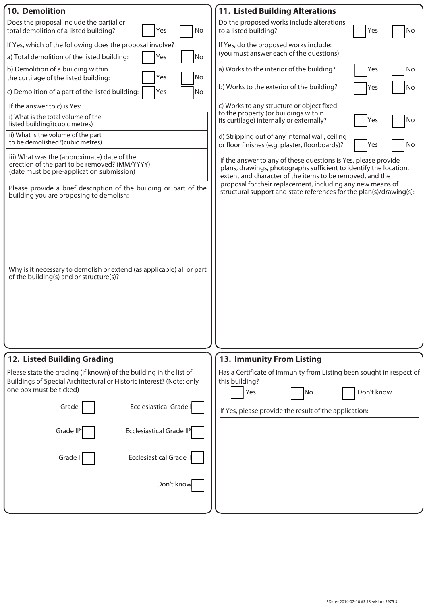| <b>10. Demolition</b>                                                                                                                                                                                                            | <b>11. Listed Building Alterations</b>                                                                                                                                                                                                                        |
|----------------------------------------------------------------------------------------------------------------------------------------------------------------------------------------------------------------------------------|---------------------------------------------------------------------------------------------------------------------------------------------------------------------------------------------------------------------------------------------------------------|
| Does the proposal include the partial or<br>No<br>Yes<br>total demolition of a listed building?                                                                                                                                  | Do the proposed works include alterations<br>to a listed building?<br>Yes<br>No                                                                                                                                                                               |
| If Yes, which of the following does the proposal involve?                                                                                                                                                                        | If Yes, do the proposed works include:                                                                                                                                                                                                                        |
| No<br>a) Total demolition of the listed building:<br>Yes                                                                                                                                                                         | (you must answer each of the questions)                                                                                                                                                                                                                       |
| b) Demolition of a building within<br>Yes<br>No<br>the curtilage of the listed building:                                                                                                                                         | a) Works to the interior of the building?<br>No<br>Yes                                                                                                                                                                                                        |
| c) Demolition of a part of the listed building:<br>Yes<br>No                                                                                                                                                                     | b) Works to the exterior of the building?<br>Yes<br>No                                                                                                                                                                                                        |
| If the answer to c) is Yes:                                                                                                                                                                                                      | c) Works to any structure or object fixed<br>to the property (or buildings within                                                                                                                                                                             |
| i) What is the total volume of the<br>listed building?(cubic metres)                                                                                                                                                             | its curtilage) internally or externally?<br>Yes<br><b>No</b>                                                                                                                                                                                                  |
| ii) What is the volume of the part<br>to be demolished?(cubic metres)                                                                                                                                                            | d) Stripping out of any internal wall, ceiling<br>No<br>or floor finishes (e.g. plaster, floorboards)?<br>Yes                                                                                                                                                 |
| iii) What was the (approximate) date of the<br>erection of the part to be removed? (MM/YYYY)<br>(date must be pre-application submission)                                                                                        | If the answer to any of these questions is Yes, please provide<br>plans, drawings, photographs sufficient to identify the location,<br>extent and character of the items to be removed, and the<br>proposal for their replacement, including any new means of |
| Please provide a brief description of the building or part of the<br>building you are proposing to demolish:<br>Why is it necessary to demolish or extend (as applicable) all or part<br>of the building(s) and or structure(s)? | structural support and state references for the plan(s)/drawing(s):                                                                                                                                                                                           |
|                                                                                                                                                                                                                                  |                                                                                                                                                                                                                                                               |
| 12. Listed Building Grading                                                                                                                                                                                                      | 13. Immunity From Listing                                                                                                                                                                                                                                     |
| Please state the grading (if known) of the building in the list of<br>Buildings of Special Architectural or Historic interest? (Note: only<br>one box must be ticked)                                                            | Has a Certificate of Immunity from Listing been sought in respect of<br>this building?<br>Don't know<br>Yes<br>No                                                                                                                                             |
| <b>Ecclesiastical Grade I</b><br>Grade I                                                                                                                                                                                         | If Yes, please provide the result of the application:                                                                                                                                                                                                         |
| Ecclesiastical Grade II*<br>Grade II*                                                                                                                                                                                            |                                                                                                                                                                                                                                                               |
| <b>Ecclesiastical Grade II</b><br>Grade II                                                                                                                                                                                       |                                                                                                                                                                                                                                                               |
| Don't know                                                                                                                                                                                                                       |                                                                                                                                                                                                                                                               |
|                                                                                                                                                                                                                                  |                                                                                                                                                                                                                                                               |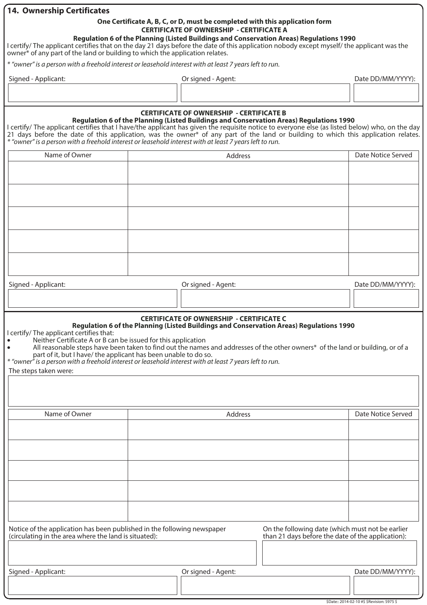| <b>14. Ownership Certificates</b>                                                                                                                                                                                                                                                                                                                                                               |                |                                                 |                                                                                                                                                                                                                           |                    |
|-------------------------------------------------------------------------------------------------------------------------------------------------------------------------------------------------------------------------------------------------------------------------------------------------------------------------------------------------------------------------------------------------|----------------|-------------------------------------------------|---------------------------------------------------------------------------------------------------------------------------------------------------------------------------------------------------------------------------|--------------------|
|                                                                                                                                                                                                                                                                                                                                                                                                 |                |                                                 | One Certificate A, B, C, or D, must be completed with this application form                                                                                                                                               |                    |
| I certify/ The applicant certifies that on the day 21 days before the date of this application nobody except myself/ the applicant was the<br>owner <sup>*</sup> of any part of the land or building to which the application relates.                                                                                                                                                          |                | <b>CERTIFICATE OF OWNERSHIP - CERTIFICATE A</b> | Regulation 6 of the Planning (Listed Buildings and Conservation Areas) Regulations 1990                                                                                                                                   |                    |
| * "owner" is a person with a freehold interest or leasehold interest with at least 7 years left to run.                                                                                                                                                                                                                                                                                         |                |                                                 |                                                                                                                                                                                                                           |                    |
| Signed - Applicant:                                                                                                                                                                                                                                                                                                                                                                             |                | Or signed - Agent:                              |                                                                                                                                                                                                                           | Date DD/MM/YYYY):  |
|                                                                                                                                                                                                                                                                                                                                                                                                 |                |                                                 |                                                                                                                                                                                                                           |                    |
|                                                                                                                                                                                                                                                                                                                                                                                                 |                |                                                 |                                                                                                                                                                                                                           |                    |
| I certify/ The applicant certifies that I have/the applicant has given the requisite notice to everyone else (as listed below) who, on the day<br>21 days before the date of this application, was the owner* of any part of the land or building to which this application relates.<br>* "owner" is a person with a freehold interest or leasehold interest with at least 7 years left to run. |                | <b>CERTIFICATE OF OWNERSHIP - CERTIFICATE B</b> | Regulation 6 of the Planning (Listed Buildings and Conservation Areas) Regulations 1990                                                                                                                                   |                    |
| Name of Owner                                                                                                                                                                                                                                                                                                                                                                                   |                | Address                                         |                                                                                                                                                                                                                           | Date Notice Served |
|                                                                                                                                                                                                                                                                                                                                                                                                 |                |                                                 |                                                                                                                                                                                                                           |                    |
|                                                                                                                                                                                                                                                                                                                                                                                                 |                |                                                 |                                                                                                                                                                                                                           |                    |
|                                                                                                                                                                                                                                                                                                                                                                                                 |                |                                                 |                                                                                                                                                                                                                           |                    |
|                                                                                                                                                                                                                                                                                                                                                                                                 |                |                                                 |                                                                                                                                                                                                                           |                    |
|                                                                                                                                                                                                                                                                                                                                                                                                 |                |                                                 |                                                                                                                                                                                                                           |                    |
|                                                                                                                                                                                                                                                                                                                                                                                                 |                |                                                 |                                                                                                                                                                                                                           |                    |
|                                                                                                                                                                                                                                                                                                                                                                                                 |                |                                                 |                                                                                                                                                                                                                           |                    |
|                                                                                                                                                                                                                                                                                                                                                                                                 |                |                                                 |                                                                                                                                                                                                                           |                    |
|                                                                                                                                                                                                                                                                                                                                                                                                 |                |                                                 |                                                                                                                                                                                                                           |                    |
| Signed - Applicant:                                                                                                                                                                                                                                                                                                                                                                             |                | Or signed - Agent:                              |                                                                                                                                                                                                                           | Date DD/MM/YYYY):  |
|                                                                                                                                                                                                                                                                                                                                                                                                 |                |                                                 |                                                                                                                                                                                                                           |                    |
| I certify/ The applicant certifies that:<br>Neither Certificate A or B can be issued for this application<br>part of it, but I have/ the applicant has been unable to do so.<br>* "owner" is a person with a freehold interest or leasehold interest with at least 7 years left to run.<br>The steps taken were:                                                                                |                | <b>CERTIFICATE OF OWNERSHIP - CERTIFICATE C</b> | Regulation 6 of the Planning (Listed Buildings and Conservation Areas) Regulations 1990<br>All reasonable steps have been taken to find out the names and addresses of the other owners* of the land or building, or of a |                    |
|                                                                                                                                                                                                                                                                                                                                                                                                 |                |                                                 |                                                                                                                                                                                                                           |                    |
| Name of Owner                                                                                                                                                                                                                                                                                                                                                                                   | <b>Address</b> |                                                 |                                                                                                                                                                                                                           | Date Notice Served |
|                                                                                                                                                                                                                                                                                                                                                                                                 |                |                                                 |                                                                                                                                                                                                                           |                    |
|                                                                                                                                                                                                                                                                                                                                                                                                 |                |                                                 |                                                                                                                                                                                                                           |                    |
|                                                                                                                                                                                                                                                                                                                                                                                                 |                |                                                 |                                                                                                                                                                                                                           |                    |
|                                                                                                                                                                                                                                                                                                                                                                                                 |                |                                                 |                                                                                                                                                                                                                           |                    |
|                                                                                                                                                                                                                                                                                                                                                                                                 |                |                                                 |                                                                                                                                                                                                                           |                    |
|                                                                                                                                                                                                                                                                                                                                                                                                 |                |                                                 |                                                                                                                                                                                                                           |                    |
|                                                                                                                                                                                                                                                                                                                                                                                                 |                |                                                 |                                                                                                                                                                                                                           |                    |
|                                                                                                                                                                                                                                                                                                                                                                                                 |                |                                                 |                                                                                                                                                                                                                           |                    |
| Notice of the application has been published in the following newspaper<br>(circulating in the area where the land is situated):                                                                                                                                                                                                                                                                |                |                                                 | On the following date (which must not be earlier<br>than 21 days before the date of the application):                                                                                                                     |                    |
|                                                                                                                                                                                                                                                                                                                                                                                                 |                |                                                 |                                                                                                                                                                                                                           |                    |
|                                                                                                                                                                                                                                                                                                                                                                                                 |                |                                                 |                                                                                                                                                                                                                           | Date DD/MM/YYYY):  |
| Signed - Applicant:                                                                                                                                                                                                                                                                                                                                                                             |                | Or signed - Agent:                              |                                                                                                                                                                                                                           |                    |
|                                                                                                                                                                                                                                                                                                                                                                                                 |                |                                                 |                                                                                                                                                                                                                           |                    |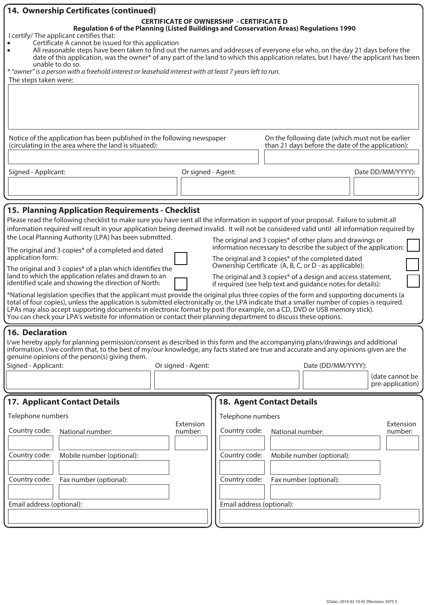| Certificate A cannot be issued for this application                                                                                                                                                                                                                                                                                                                                                                                                                                                                                                                                                                                                                                                                                                                                                                                                                                                                                                                                                                                                                                                                                                                                                                                                                                                                                                                                                                                                                                                                                                                                                                                                                                                                                                                                                                                                                                                                                                                                                                                                            |                                                 |                                                                         |                                                                                                                                                                                                                                                                                                                                                                                                                                                                                                                                                                                                                      |  |
|----------------------------------------------------------------------------------------------------------------------------------------------------------------------------------------------------------------------------------------------------------------------------------------------------------------------------------------------------------------------------------------------------------------------------------------------------------------------------------------------------------------------------------------------------------------------------------------------------------------------------------------------------------------------------------------------------------------------------------------------------------------------------------------------------------------------------------------------------------------------------------------------------------------------------------------------------------------------------------------------------------------------------------------------------------------------------------------------------------------------------------------------------------------------------------------------------------------------------------------------------------------------------------------------------------------------------------------------------------------------------------------------------------------------------------------------------------------------------------------------------------------------------------------------------------------------------------------------------------------------------------------------------------------------------------------------------------------------------------------------------------------------------------------------------------------------------------------------------------------------------------------------------------------------------------------------------------------------------------------------------------------------------------------------------------------|-------------------------------------------------|-------------------------------------------------------------------------|----------------------------------------------------------------------------------------------------------------------------------------------------------------------------------------------------------------------------------------------------------------------------------------------------------------------------------------------------------------------------------------------------------------------------------------------------------------------------------------------------------------------------------------------------------------------------------------------------------------------|--|
| Notice of the application has been published in the following newspaper<br>On the following date (which must not be earlier<br>(circulating in the area where the land is situated):<br>than 21 days before the date of the application):                                                                                                                                                                                                                                                                                                                                                                                                                                                                                                                                                                                                                                                                                                                                                                                                                                                                                                                                                                                                                                                                                                                                                                                                                                                                                                                                                                                                                                                                                                                                                                                                                                                                                                                                                                                                                      |                                                 |                                                                         |                                                                                                                                                                                                                                                                                                                                                                                                                                                                                                                                                                                                                      |  |
|                                                                                                                                                                                                                                                                                                                                                                                                                                                                                                                                                                                                                                                                                                                                                                                                                                                                                                                                                                                                                                                                                                                                                                                                                                                                                                                                                                                                                                                                                                                                                                                                                                                                                                                                                                                                                                                                                                                                                                                                                                                                |                                                 |                                                                         | Date DD/MM/YYYY):                                                                                                                                                                                                                                                                                                                                                                                                                                                                                                                                                                                                    |  |
|                                                                                                                                                                                                                                                                                                                                                                                                                                                                                                                                                                                                                                                                                                                                                                                                                                                                                                                                                                                                                                                                                                                                                                                                                                                                                                                                                                                                                                                                                                                                                                                                                                                                                                                                                                                                                                                                                                                                                                                                                                                                |                                                 |                                                                         |                                                                                                                                                                                                                                                                                                                                                                                                                                                                                                                                                                                                                      |  |
| <b>15. Planning Application Requirements - Checklist</b><br>Please read the following checklist to make sure you have sent all the information in support of your proposal. Failure to submit all<br>information required will result in your application being deemed invalid. It will not be considered valid until all information required by<br>the Local Planning Authority (LPA) has been submitted.<br>The original and 3 copies* of other plans and drawings or<br>information necessary to describe the subject of the application:<br>The original and 3 copies* of a completed and dated<br>application form:<br>The original and 3 copies* of the completed dated<br>Ownership Certificate (A, B, C, or D - as applicable):<br>The original and 3 copies* of a plan which identifies the<br>land to which the application relates and drawn to an<br>The original and 3 copies* of a design and access statement,<br>identified scale and showing the direction of North:<br>if required (see help text and guidance notes for details):<br>*National legislation specifies that the applicant must provide the original plus three copies of the form and supporting documents (a<br>total of four copies), unless the application is submitted electronically or, the LPA indicate that a smaller number of copies is required.<br>LPAs may also accept supporting documents in electronic format by post (for example, on a CD, DVD or USB memory stick).<br>You can check your LPA's website for information or contact their planning department to discuss these options.<br><b>16. Declaration</b><br>I/we hereby apply for planning permission/consent as described in this form and the accompanying plans/drawings and additional<br>information. I/we confirm that, to the best of my/our knowledge, any facts stated are true and accurate and any opinions given are the<br>genuine opinions of the person(s) giving them.<br>Signed - Applicant:<br>Or signed - Agent:<br>Date (DD/MM/YYYY):<br>(date cannot be<br>pre-application) |                                                 |                                                                         |                                                                                                                                                                                                                                                                                                                                                                                                                                                                                                                                                                                                                      |  |
| Extension<br>number:                                                                                                                                                                                                                                                                                                                                                                                                                                                                                                                                                                                                                                                                                                                                                                                                                                                                                                                                                                                                                                                                                                                                                                                                                                                                                                                                                                                                                                                                                                                                                                                                                                                                                                                                                                                                                                                                                                                                                                                                                                           | Country code:<br>Country code:<br>Country code: | National number:<br>Mobile number (optional):<br>Fax number (optional): | Extension<br>number:                                                                                                                                                                                                                                                                                                                                                                                                                                                                                                                                                                                                 |  |
|                                                                                                                                                                                                                                                                                                                                                                                                                                                                                                                                                                                                                                                                                                                                                                                                                                                                                                                                                                                                                                                                                                                                                                                                                                                                                                                                                                                                                                                                                                                                                                                                                                                                                                                                                                                                                                                                                                                                                                                                                                                                |                                                 | Or signed - Agent:                                                      | <b>CERTIFICATE OF OWNERSHIP - CERTIFICATE D</b><br>Regulation 6 of the Planning (Listed Buildings and Conservation Areas) Regulations 1990<br>All reasonable steps have been taken to find out the names and addresses of everyone else who, on the day 21 days before the<br>date of this application, was the owner* of any part of the land to which this application relates, but I have/the applicant has been<br>* "owner" is a person with a freehold interest or leasehold interest with at least 7 years left to run.<br><b>18. Agent Contact Details</b><br>Telephone numbers<br>Email address (optional): |  |